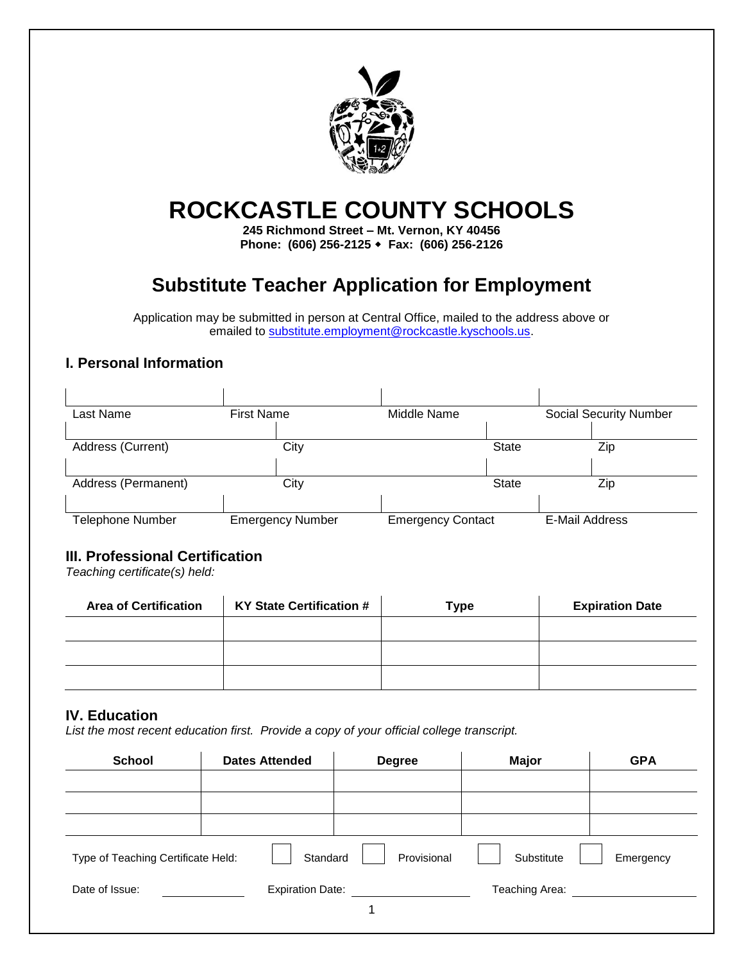

# **ROCKCASTLE COUNTY SCHOOLS**

**245 Richmond Street – Mt. Vernon, KY 40456 Phone: (606) 256-2125 Fax: (606) 256-2126**

## **Substitute Teacher Application for Employment**

Application may be submitted in person at Central Office, mailed to the address above or emailed to [substitute.employment@rockcastle.kyschools.us.](mailto:substitute.employment@rockcastle.kyschools.us)

#### **I. Personal Information**

| Last Name               | <b>First Name</b>       | Middle Name              |              |                | <b>Social Security Number</b> |
|-------------------------|-------------------------|--------------------------|--------------|----------------|-------------------------------|
|                         |                         |                          |              |                |                               |
| Address (Current)       | City                    |                          | <b>State</b> |                | Zip                           |
|                         |                         |                          |              |                |                               |
| Address (Permanent)     | City                    |                          | <b>State</b> |                | Zip                           |
|                         |                         |                          |              |                |                               |
| <b>Telephone Number</b> | <b>Emergency Number</b> | <b>Emergency Contact</b> |              | E-Mail Address |                               |

#### **III. Professional Certification**

*Teaching certificate(s) held:*

| <b>Area of Certification</b> | <b>KY State Certification #</b> | <b>Type</b> | <b>Expiration Date</b> |
|------------------------------|---------------------------------|-------------|------------------------|
|                              |                                 |             |                        |
|                              |                                 |             |                        |
|                              |                                 |             |                        |

#### **IV. Education**

*List the most recent education first. Provide a copy of your official college transcript.*

| <b>School</b>                      | <b>Dates Attended</b>   | <b>Degree</b> | <b>Major</b>   | <b>GPA</b> |
|------------------------------------|-------------------------|---------------|----------------|------------|
|                                    |                         |               |                |            |
|                                    |                         |               |                |            |
| Type of Teaching Certificate Held: | Standard                | Provisional   | Substitute     | Emergency  |
| Date of Issue:                     | <b>Expiration Date:</b> |               | Teaching Area: |            |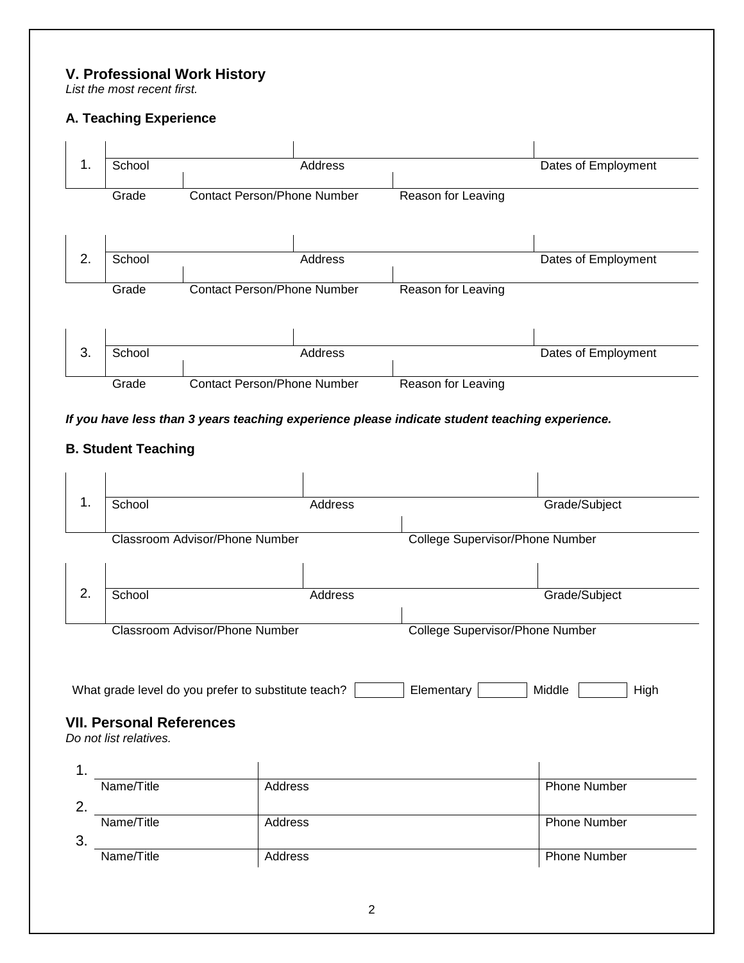#### **V. Professional Work History**

*List the most recent first.*

#### **A. Teaching Experience**



#### *If you have less than 3 years teaching experience please indicate student teaching experience.*

### **B. Student Teaching**

| School                                                    | Address                                             | Grade/Subject                   |
|-----------------------------------------------------------|-----------------------------------------------------|---------------------------------|
| Classroom Advisor/Phone Number                            |                                                     | College Supervisor/Phone Number |
|                                                           |                                                     |                                 |
| School                                                    | Address                                             | Grade/Subject                   |
| Classroom Advisor/Phone Number                            |                                                     | College Supervisor/Phone Number |
|                                                           | What grade level do you prefer to substitute teach? | Elementary<br>Middle<br>High    |
| <b>VII. Personal References</b><br>Do not list relatives. |                                                     |                                 |
|                                                           |                                                     |                                 |
| Name/Title                                                | Address                                             | <b>Phone Number</b>             |
|                                                           | Address                                             | <b>Phone Number</b>             |
| Name/Title                                                |                                                     |                                 |